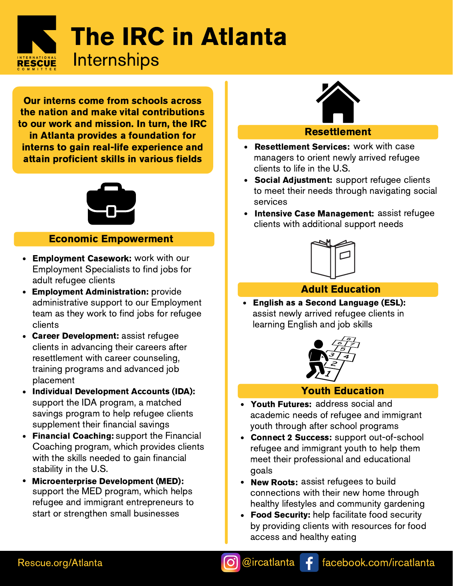

Our interns come from schools across the nation and make vital contributions to our work and mission. In turn, the IRC in Atlanta provides a foundation for interns to gain real-life experience and attain proficient skills in various fields



#### Economic Empowerment

- Employment Casework: work with our Employment Specialists to find jobs for adult refugee clients
- **Employment Administration:** provide  $\bullet$ administrative support to our Employment team as they work to find jobs for refugee clients
- Career Development: assist refugee clients in advancing their careers after resettlement with career counseling, training programs and advanced job placement
- Individual Development Accounts (IDA): support the IDA program, a matched savings program to help refugee clients supplement their financial savings **Individual Development Accounts (IDA):**<br>support the IDA program, a matched<br>savings program to help refugee clients<br>supplement their financial savings<br>**Financial Coaching:** support the Financial
- $\bullet$ Coaching program, which provides clients with the skills needed to gain financial stability in the U.S.
- Microenterprise Development (MED): Microenterprise Development (MED): support the MED program, which helps refugee and immigrant entrepreneurs to start or strengthen small businesses



#### Resettlement

- Resettlement Services: work with case Resettlement Services: managers to orient newly arrived refugee clients to life in the U.S.
- Social Adjustment: support refugee clients to meet their needs through navigating social services
- Intensive Case Management: assist refugee Intensive Case Management: clients with additional support needs



#### Adult Education

English as a Second Language (ESL): assist newly arrived refugee clients in learning English and job skills



#### Youth Education

- Youth Futures: address social and academic needs of refugee and immigrant youth through after school programs
- Connect 2 Success: support out-of-school refugee and immigrant youth to help them meet their professional and educational goals
- New Roots: assist refugees to build connections with their new home through healthy lifestyles and community gardening
- Food Security: help facilitate food security  $\bullet$ by providing clients with resources for food access and healthy eating